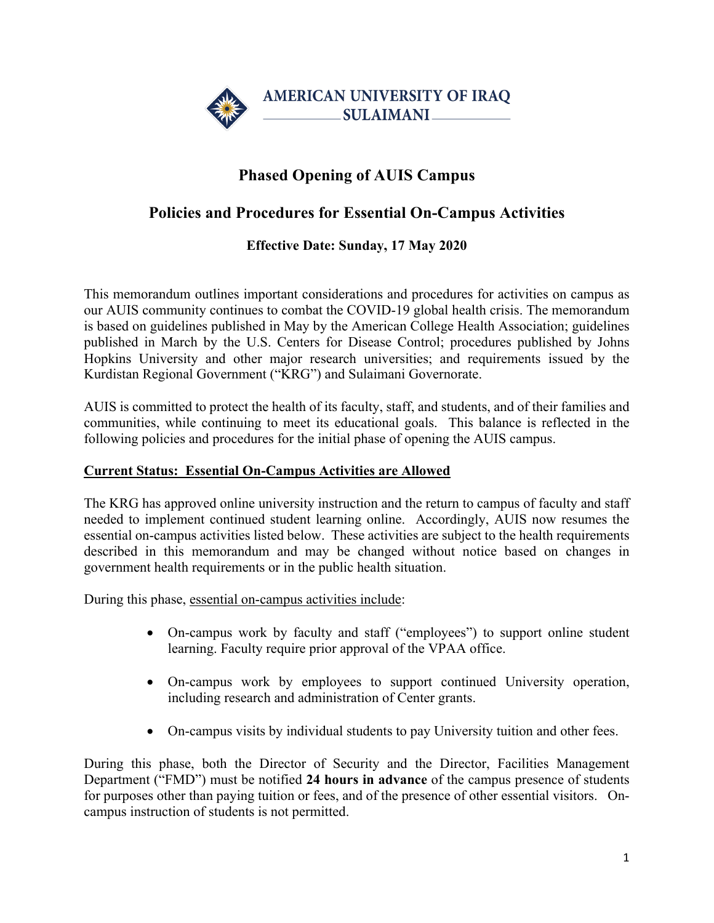

## **Phased Opening of AUIS Campus**

## **Policies and Procedures for Essential On-Campus Activities**

**Effective Date: Sunday, 17 May 2020**

This memorandum outlines important considerations and procedures for activities on campus as our AUIS community continues to combat the COVID-19 global health crisis. The memorandum is based on guidelines published in May by the American College Health Association; guidelines published in March by the U.S. Centers for Disease Control; procedures published by Johns Hopkins University and other major research universities; and requirements issued by the Kurdistan Regional Government ("KRG") and Sulaimani Governorate.

AUIS is committed to protect the health of its faculty, staff, and students, and of their families and communities, while continuing to meet its educational goals. This balance is reflected in the following policies and procedures for the initial phase of opening the AUIS campus.

## **Current Status: Essential On-Campus Activities are Allowed**

The KRG has approved online university instruction and the return to campus of faculty and staff needed to implement continued student learning online. Accordingly, AUIS now resumes the essential on-campus activities listed below. These activities are subject to the health requirements described in this memorandum and may be changed without notice based on changes in government health requirements or in the public health situation.

During this phase, essential on-campus activities include:

- On-campus work by faculty and staff ("employees") to support online student learning. Faculty require prior approval of the VPAA office.
- On-campus work by employees to support continued University operation, including research and administration of Center grants.
- On-campus visits by individual students to pay University tuition and other fees.

During this phase, both the Director of Security and the Director, Facilities Management Department ("FMD") must be notified **24 hours in advance** of the campus presence of students for purposes other than paying tuition or fees, and of the presence of other essential visitors.Oncampus instruction of students is not permitted.